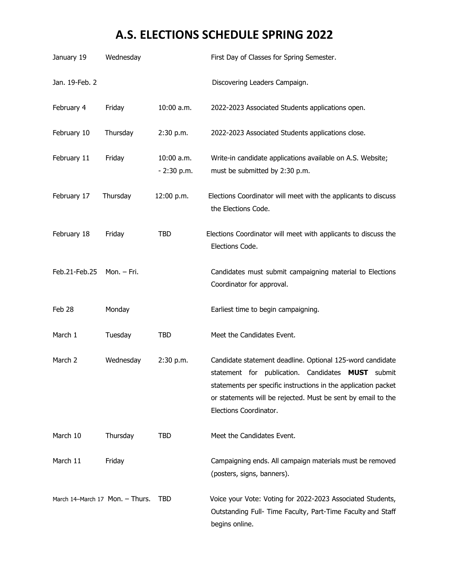## **A.S. ELECTIONS SCHEDULE SPRING 2022**

| January 19     | Wednesday                       |                            | First Day of Classes for Spring Semester.                                                                                                                                                                                                                                  |
|----------------|---------------------------------|----------------------------|----------------------------------------------------------------------------------------------------------------------------------------------------------------------------------------------------------------------------------------------------------------------------|
| Jan. 19-Feb. 2 |                                 |                            | Discovering Leaders Campaign.                                                                                                                                                                                                                                              |
| February 4     | Friday                          | 10:00 a.m.                 | 2022-2023 Associated Students applications open.                                                                                                                                                                                                                           |
| February 10    | Thursday                        | 2:30 p.m.                  | 2022-2023 Associated Students applications close.                                                                                                                                                                                                                          |
| February 11    | Friday                          | 10:00 a.m.<br>$-2:30$ p.m. | Write-in candidate applications available on A.S. Website;<br>must be submitted by 2:30 p.m.                                                                                                                                                                               |
| February 17    | Thursday                        | 12:00 p.m.                 | Elections Coordinator will meet with the applicants to discuss<br>the Elections Code.                                                                                                                                                                                      |
| February 18    | Friday                          | <b>TBD</b>                 | Elections Coordinator will meet with applicants to discuss the<br>Elections Code.                                                                                                                                                                                          |
| Feb.21-Feb.25  | Mon. - Fri.                     |                            | Candidates must submit campaigning material to Elections<br>Coordinator for approval.                                                                                                                                                                                      |
| Feb 28         | Monday                          |                            | Earliest time to begin campaigning.                                                                                                                                                                                                                                        |
| March 1        | Tuesday                         | <b>TBD</b>                 | Meet the Candidates Event.                                                                                                                                                                                                                                                 |
| March 2        | Wednesday                       | 2:30 p.m.                  | Candidate statement deadline. Optional 125-word candidate<br>statement for publication. Candidates MUST submit<br>statements per specific instructions in the application packet<br>or statements will be rejected. Must be sent by email to the<br>Elections Coordinator. |
| March 10       | Thursday                        | <b>TBD</b>                 | Meet the Candidates Event.                                                                                                                                                                                                                                                 |
| March 11       | Friday                          |                            | Campaigning ends. All campaign materials must be removed<br>(posters, signs, banners).                                                                                                                                                                                     |
|                | March 14-March 17 Mon. - Thurs. | <b>TBD</b>                 | Voice your Vote: Voting for 2022-2023 Associated Students,<br>Outstanding Full- Time Faculty, Part-Time Faculty and Staff<br>begins online.                                                                                                                                |